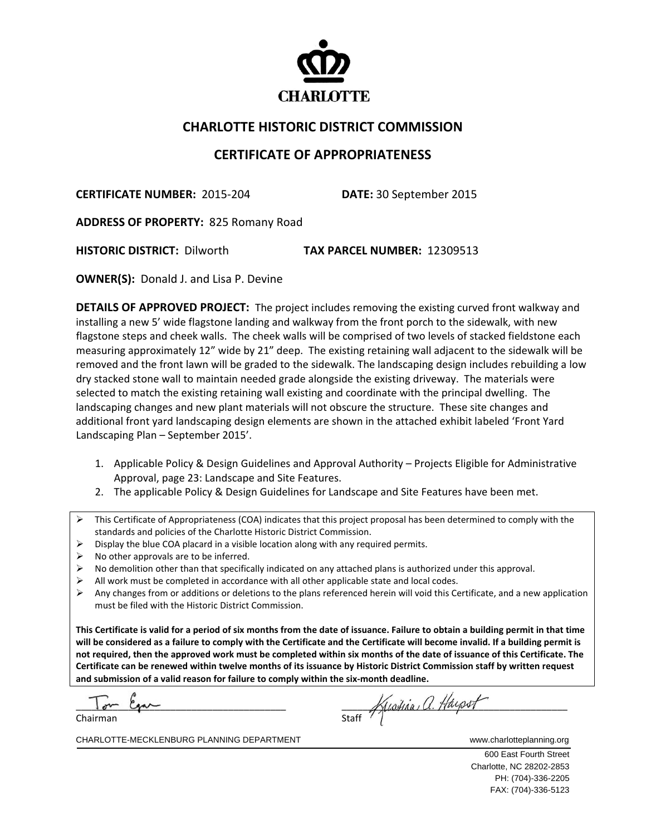

## **CHARLOTTE HISTORIC DISTRICT COMMISSION**

## **CERTIFICATE OF APPROPRIATENESS**

**CERTIFICATE NUMBER:** 2015‐204 **DATE:** 30 September 2015

**ADDRESS OF PROPERTY:** 825 Romany Road

**HISTORIC DISTRICT:** Dilworth **TAX PARCEL NUMBER:** 12309513

**OWNER(S):** Donald J. and Lisa P. Devine

**DETAILS OF APPROVED PROJECT:** The project includes removing the existing curved front walkway and installing a new 5' wide flagstone landing and walkway from the front porch to the sidewalk, with new flagstone steps and cheek walls. The cheek walls will be comprised of two levels of stacked fieldstone each measuring approximately 12" wide by 21" deep. The existing retaining wall adjacent to the sidewalk will be removed and the front lawn will be graded to the sidewalk. The landscaping design includes rebuilding a low dry stacked stone wall to maintain needed grade alongside the existing driveway. The materials were selected to match the existing retaining wall existing and coordinate with the principal dwelling. The landscaping changes and new plant materials will not obscure the structure. These site changes and additional front yard landscaping design elements are shown in the attached exhibit labeled 'Front Yard Landscaping Plan – September 2015'.

- 1. Applicable Policy & Design Guidelines and Approval Authority Projects Eligible for Administrative Approval, page 23: Landscape and Site Features.
- 2. The applicable Policy & Design Guidelines for Landscape and Site Features have been met.

- $\triangleright$  Display the blue COA placard in a visible location along with any required permits.
- No other approvals are to be inferred.
- $\triangleright$  No demolition other than that specifically indicated on any attached plans is authorized under this approval.
- All work must be completed in accordance with all other applicable state and local codes.
- $\triangleright$  Any changes from or additions or deletions to the plans referenced herein will void this Certificate, and a new application must be filed with the Historic District Commission.

This Certificate is valid for a period of six months from the date of issuance. Failure to obtain a building permit in that time will be considered as a failure to comply with the Certificate and the Certificate will become invalid. If a building permit is not required, then the approved work must be completed within six months of the date of issuance of this Certificate. The Certificate can be renewed within twelve months of its issuance by Historic District Commission staff by written request **and submission of a valid reason for failure to comply within the six‐month deadline.**

 $\overline{\phantom{a}}$ 

staff Kustina a. Haypot Chairman Staff

CHARLOTTE-MECKLENBURG PLANNING DEPARTMENT **WARE CONSIDERED ASSESS** www.charlotteplanning.org

600 East Fourth Street Charlotte, NC 28202-2853 PH: (704)-336-2205 FAX: (704)-336-5123

This Certificate of Appropriateness (COA) indicates that this project proposal has been determined to comply with the standards and policies of the Charlotte Historic District Commission.